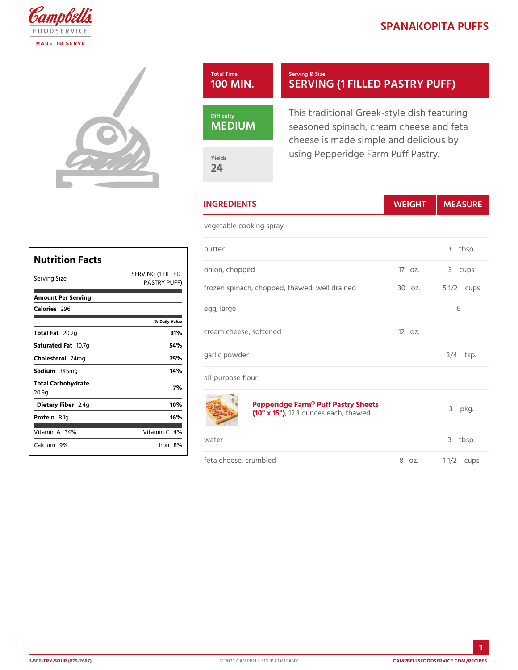## SPANAKOPITA P

3 tbsp.

6

 $3/4$  tsp.

 $p$ kg.

3 tbsp.

## Total Time 100 MIN. Serving & Size SERVING (1 FILLED PAS

This traditional Greek-style dis seasoned spinach, cream chees cheese is made simple and deli using Pepperidge Farm Puff Pas

Yields 24

MEDIUM

Nutrition Facts Serving Size SERVING (1 FILL<sup>O</sup> ED 0 n, chopped 17 oz. 3 cups PASTRY PUFF)<br>Frozen spinach, chopped, thawed, w8DI odzain5ed1/2cups Amount Per Serving Calorie2s96  $%$  Daily V  $Total F20.2g$  31% Saturated 1F0at7 g 54% Choleste 744 mg 25% Sodium 345mg 14% Total Carbohydrate 20.9g 7% Dietary F21b4eg 10% Protei 8.1g 16% Vitamin 344 % Vitamin 4 Calcium 9% Iron 8% INGREDIENTS WEIGH MEASURE vegetable cooking spray butter egg, large cream cheese, softened 12 oz. garlic powder all-purpose flour Pepperidge Farm<sup>®</sup> Puff Pastry Sheets  $(10" x, 152)$ 3 ounces each, thawed water **we** feta cheese, crumbled 8 oz. 1 1/2 ups